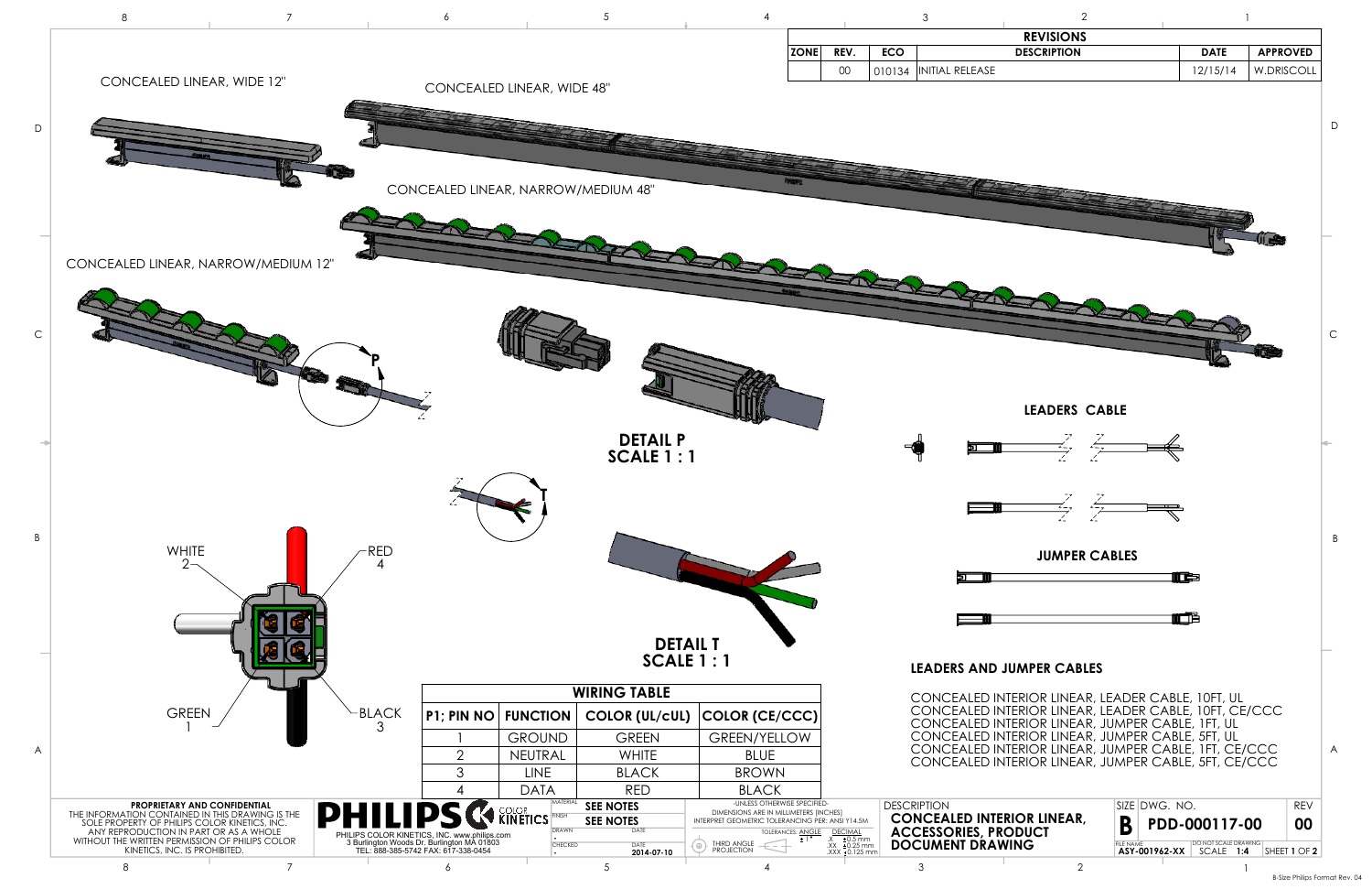